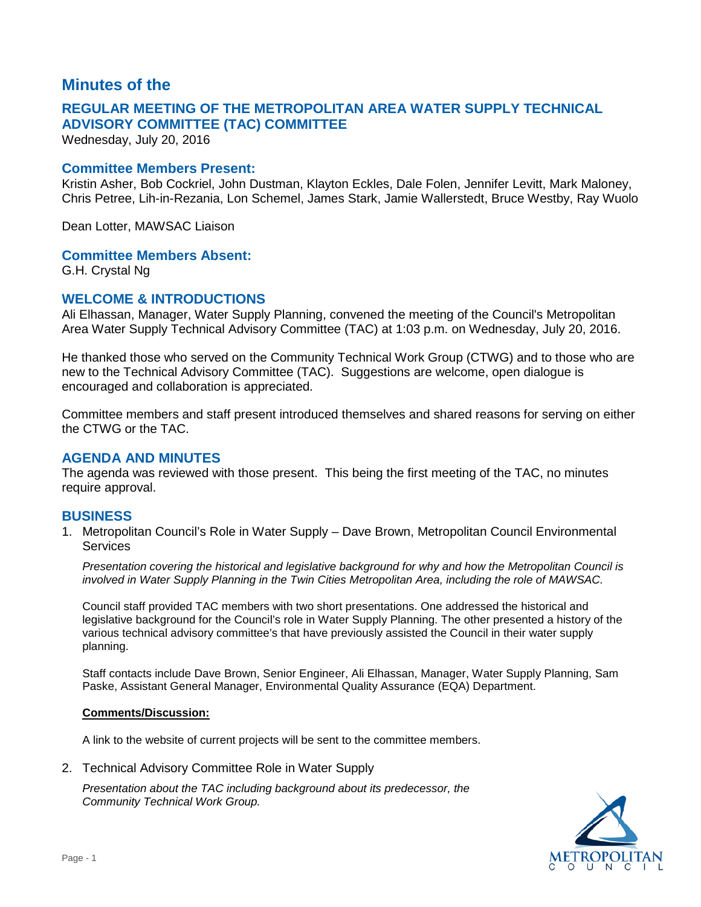# **Minutes of the**

# **REGULAR MEETING OF THE METROPOLITAN AREA WATER SUPPLY TECHNICAL ADVISORY COMMITTEE (TAC) COMMITTEE**

Wednesday, July 20, 2016

### **Committee Members Present:**

Kristin Asher, Bob Cockriel, John Dustman, Klayton Eckles, Dale Folen, Jennifer Levitt, Mark Maloney, Chris Petree, Lih-in-Rezania, Lon Schemel, James Stark, Jamie Wallerstedt, Bruce Westby, Ray Wuolo

Dean Lotter, MAWSAC Liaison

### **Committee Members Absent:**

G.H. Crystal Ng

## **WELCOME & INTRODUCTIONS**

Ali Elhassan, Manager, Water Supply Planning, convened the meeting of the Council's Metropolitan Area Water Supply Technical Advisory Committee (TAC) at 1:03 p.m. on Wednesday, July 20, 2016.

He thanked those who served on the Community Technical Work Group (CTWG) and to those who are new to the Technical Advisory Committee (TAC). Suggestions are welcome, open dialogue is encouraged and collaboration is appreciated.

Committee members and staff present introduced themselves and shared reasons for serving on either the CTWG or the TAC.

## **AGENDA AND MINUTES**

The agenda was reviewed with those present. This being the first meeting of the TAC, no minutes require approval.

## **BUSINESS**

1. Metropolitan Council's Role in Water Supply – Dave Brown, Metropolitan Council Environmental **Services** 

*Presentation covering the historical and legislative background for why and how the Metropolitan Council is involved in Water Supply Planning in the Twin Cities Metropolitan Area, including the role of MAWSAC.*

Council staff provided TAC members with two short presentations. One addressed the historical and legislative background for the Council's role in Water Supply Planning. The other presented a history of the various technical advisory committee's that have previously assisted the Council in their water supply planning.

Staff contacts include Dave Brown, Senior Engineer, Ali Elhassan, Manager, Water Supply Planning, Sam Paske, Assistant General Manager, Environmental Quality Assurance (EQA) Department.

#### **Comments/Discussion:**

A link to the website of current projects will be sent to the committee members.

2. Technical Advisory Committee Role in Water Supply

*Presentation about the TAC including background about its predecessor, the Community Technical Work Group.* 

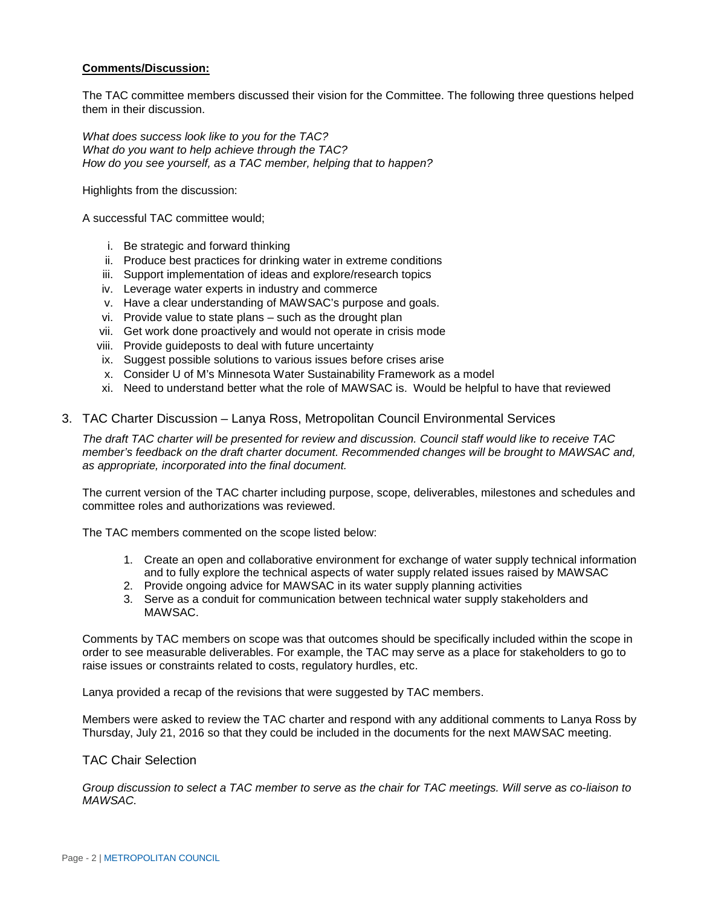#### **Comments/Discussion:**

The TAC committee members discussed their vision for the Committee. The following three questions helped them in their discussion.

*What does success look like to you for the TAC? What do you want to help achieve through the TAC? How do you see yourself, as a TAC member, helping that to happen?*

Highlights from the discussion:

A successful TAC committee would;

- i. Be strategic and forward thinking
- ii. Produce best practices for drinking water in extreme conditions
- iii. Support implementation of ideas and explore/research topics
- iv. Leverage water experts in industry and commerce
- v. Have a clear understanding of MAWSAC's purpose and goals.
- vi. Provide value to state plans such as the drought plan
- vii. Get work done proactively and would not operate in crisis mode
- viii. Provide guideposts to deal with future uncertainty
- ix. Suggest possible solutions to various issues before crises arise
- x. Consider U of M's Minnesota Water Sustainability Framework as a model
- xi. Need to understand better what the role of MAWSAC is. Would be helpful to have that reviewed

#### 3. TAC Charter Discussion – Lanya Ross, Metropolitan Council Environmental Services

*The draft TAC charter will be presented for review and discussion. Council staff would like to receive TAC member's feedback on the draft charter document. Recommended changes will be brought to MAWSAC and, as appropriate, incorporated into the final document.*

The current version of the TAC charter including purpose, scope, deliverables, milestones and schedules and committee roles and authorizations was reviewed.

The TAC members commented on the scope listed below:

- 1. Create an open and collaborative environment for exchange of water supply technical information and to fully explore the technical aspects of water supply related issues raised by MAWSAC
- 2. Provide ongoing advice for MAWSAC in its water supply planning activities
- 3. Serve as a conduit for communication between technical water supply stakeholders and MAWSAC.

Comments by TAC members on scope was that outcomes should be specifically included within the scope in order to see measurable deliverables. For example, the TAC may serve as a place for stakeholders to go to raise issues or constraints related to costs, regulatory hurdles, etc.

Lanya provided a recap of the revisions that were suggested by TAC members.

Members were asked to review the TAC charter and respond with any additional comments to Lanya Ross by Thursday, July 21, 2016 so that they could be included in the documents for the next MAWSAC meeting.

#### TAC Chair Selection

*Group discussion to select a TAC member to serve as the chair for TAC meetings. Will serve as co-liaison to MAWSAC.*